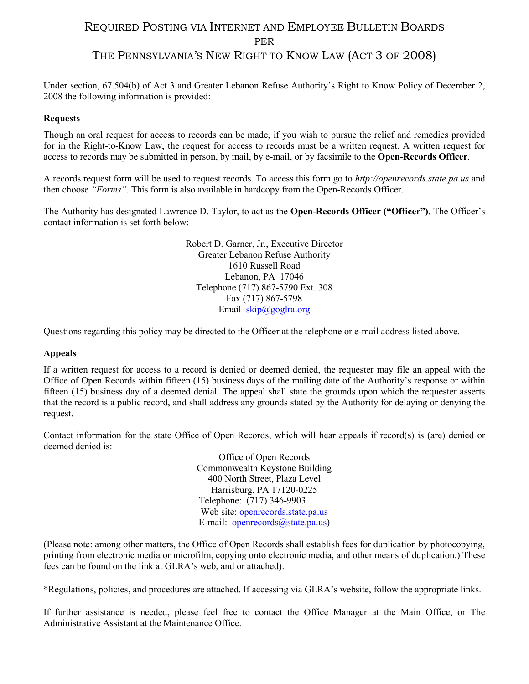# REQUIRED POSTING VIA INTERNET AND EMPLOYEE BULLETIN BOARDS PER THE PENNSYLVANIA'S NEW RIGHT TO KNOW LAW (ACT 3 OF 2008)

Under section, 67.504(b) of Act 3 and Greater Lebanon Refuse Authority's Right to Know Policy of December 2, 2008 the following information is provided:

## **Requests**

Though an oral request for access to records can be made, if you wish to pursue the relief and remedies provided for in the Right-to-Know Law, the request for access to records must be a written request. A written request for access to records may be submitted in person, by mail, by e-mail, or by facsimile to the **Open-Records Officer**.

A records request form will be used to request records. To access this form go to *http://openrecords.state.pa.us* and then choose *"Forms".* This form is also available in hardcopy from the Open-Records Officer.

The Authority has designated Lawrence D. Taylor, to act as the **Open-Records Officer ("Officer")**. The Officer's contact information is set forth below:

> Robert D. Garner, Jr., Executive Director Greater Lebanon Refuse Authority 1610 Russell Road Lebanon, PA 17046 Telephone (717) 867-5790 Ext. 308 Fax (717) 867-5798 Email  $skip(\partial \text{gog}lra.org)$

Questions regarding this policy may be directed to the Officer at the telephone or e-mail address listed above.

## **Appeals**

If a written request for access to a record is denied or deemed denied, the requester may file an appeal with the Office of Open Records within fifteen (15) business days of the mailing date of the Authority's response or within fifteen (15) business day of a deemed denial. The appeal shall state the grounds upon which the requester asserts that the record is a public record, and shall address any grounds stated by the Authority for delaying or denying the request.

Contact information for the state Office of Open Records, which will hear appeals if record(s) is (are) denied or deemed denied is:

> Office of Open Records Commonwealth Keystone Building 400 North Street, Plaza Level Harrisburg, PA 17120-0225 Telephone: (717) 346-9903 Web site: [openrecords.state.pa.us](http://openrecords.state.pa.us/) E-mail: [openrecords@state.pa.us\)](mailto:openrecords@state.pa.us)

(Please note: among other matters, the Office of Open Records shall establish fees for duplication by photocopying, printing from electronic media or microfilm, copying onto electronic media, and other means of duplication.) These fees can be found on the link at GLRA's web, and or attached).

\*Regulations, policies, and procedures are attached. If accessing via GLRA's website, follow the appropriate links.

If further assistance is needed, please feel free to contact the Office Manager at the Main Office, or The Administrative Assistant at the Maintenance Office.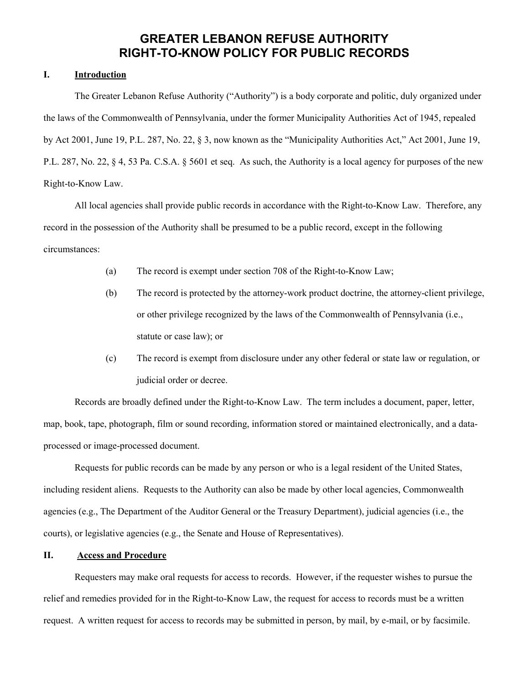## **GREATER LEBANON REFUSE AUTHORITY RIGHT-TO-KNOW POLICY FOR PUBLIC RECORDS**

#### **I. Introduction**

The Greater Lebanon Refuse Authority ("Authority") is a body corporate and politic, duly organized under the laws of the Commonwealth of Pennsylvania, under the former Municipality Authorities Act of 1945, repealed by Act 2001, June 19, P.L. 287, No. 22, § 3, now known as the "Municipality Authorities Act," Act 2001, June 19, P.L. 287, No. 22, § 4, 53 Pa. C.S.A. § 5601 et seq. As such, the Authority is a local agency for purposes of the new Right-to-Know Law.

All local agencies shall provide public records in accordance with the Right-to-Know Law. Therefore, any record in the possession of the Authority shall be presumed to be a public record, except in the following circumstances:

- (a) The record is exempt under section 708 of the Right-to-Know Law;
- (b) The record is protected by the attorney-work product doctrine, the attorney-client privilege, or other privilege recognized by the laws of the Commonwealth of Pennsylvania (i.e., statute or case law); or
- (c) The record is exempt from disclosure under any other federal or state law or regulation, or judicial order or decree.

Records are broadly defined under the Right-to-Know Law. The term includes a document, paper, letter, map, book, tape, photograph, film or sound recording, information stored or maintained electronically, and a dataprocessed or image-processed document.

Requests for public records can be made by any person or who is a legal resident of the United States, including resident aliens. Requests to the Authority can also be made by other local agencies, Commonwealth agencies (e.g., The Department of the Auditor General or the Treasury Department), judicial agencies (i.e., the courts), or legislative agencies (e.g., the Senate and House of Representatives).

## **II. Access and Procedure**

Requesters may make oral requests for access to records. However, if the requester wishes to pursue the relief and remedies provided for in the Right-to-Know Law, the request for access to records must be a written request. A written request for access to records may be submitted in person, by mail, by e-mail, or by facsimile.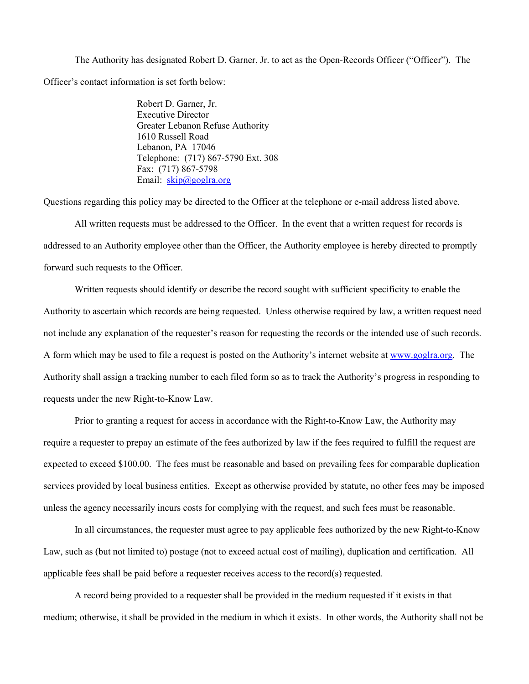The Authority has designated Robert D. Garner, Jr. to act as the Open-Records Officer ("Officer"). The Officer's contact information is set forth below:

> Robert D. Garner, Jr. Executive Director Greater Lebanon Refuse Authority 1610 Russell Road Lebanon, PA 17046 Telephone: (717) 867-5790 Ext. 308 Fax: (717) 867-5798 Email: [skip@goglra.org](mailto:skip@goglra.org)

Questions regarding this policy may be directed to the Officer at the telephone or e-mail address listed above.

All written requests must be addressed to the Officer. In the event that a written request for records is addressed to an Authority employee other than the Officer, the Authority employee is hereby directed to promptly forward such requests to the Officer.

Written requests should identify or describe the record sought with sufficient specificity to enable the Authority to ascertain which records are being requested. Unless otherwise required by law, a written request need not include any explanation of the requester's reason for requesting the records or the intended use of such records. A form which may be used to file a request is posted on the Authority's internet website at [www.goglra.org.](http://www.goglra.org/) The Authority shall assign a tracking number to each filed form so as to track the Authority's progress in responding to requests under the new Right-to-Know Law.

Prior to granting a request for access in accordance with the Right-to-Know Law, the Authority may require a requester to prepay an estimate of the fees authorized by law if the fees required to fulfill the request are expected to exceed \$100.00. The fees must be reasonable and based on prevailing fees for comparable duplication services provided by local business entities. Except as otherwise provided by statute, no other fees may be imposed unless the agency necessarily incurs costs for complying with the request, and such fees must be reasonable.

In all circumstances, the requester must agree to pay applicable fees authorized by the new Right-to-Know Law, such as (but not limited to) postage (not to exceed actual cost of mailing), duplication and certification. All applicable fees shall be paid before a requester receives access to the record(s) requested.

A record being provided to a requester shall be provided in the medium requested if it exists in that medium; otherwise, it shall be provided in the medium in which it exists. In other words, the Authority shall not be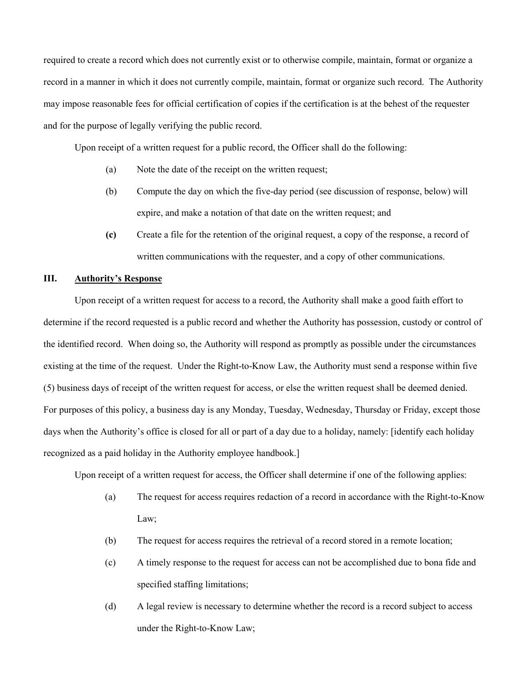required to create a record which does not currently exist or to otherwise compile, maintain, format or organize a record in a manner in which it does not currently compile, maintain, format or organize such record. The Authority may impose reasonable fees for official certification of copies if the certification is at the behest of the requester and for the purpose of legally verifying the public record.

Upon receipt of a written request for a public record, the Officer shall do the following:

- (a) Note the date of the receipt on the written request;
- (b) Compute the day on which the five-day period (see discussion of response, below) will expire, and make a notation of that date on the written request; and
- **(c)** Create a file for the retention of the original request, a copy of the response, a record of written communications with the requester, and a copy of other communications.

#### **III. Authority's Response**

Upon receipt of a written request for access to a record, the Authority shall make a good faith effort to determine if the record requested is a public record and whether the Authority has possession, custody or control of the identified record. When doing so, the Authority will respond as promptly as possible under the circumstances existing at the time of the request. Under the Right-to-Know Law, the Authority must send a response within five (5) business days of receipt of the written request for access, or else the written request shall be deemed denied. For purposes of this policy, a business day is any Monday, Tuesday, Wednesday, Thursday or Friday, except those days when the Authority's office is closed for all or part of a day due to a holiday, namely: [identify each holiday recognized as a paid holiday in the Authority employee handbook.]

Upon receipt of a written request for access, the Officer shall determine if one of the following applies:

- (a) The request for access requires redaction of a record in accordance with the Right-to-Know Law;
- (b) The request for access requires the retrieval of a record stored in a remote location;
- (c) A timely response to the request for access can not be accomplished due to bona fide and specified staffing limitations;
- (d) A legal review is necessary to determine whether the record is a record subject to access under the Right-to-Know Law;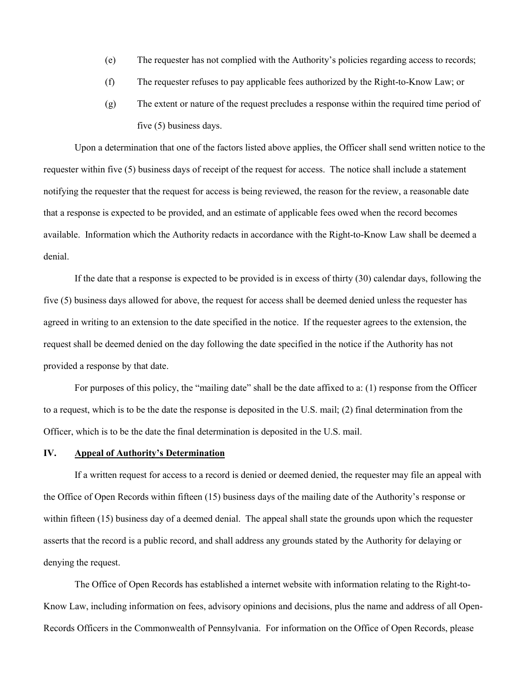- (e) The requester has not complied with the Authority's policies regarding access to records;
- (f) The requester refuses to pay applicable fees authorized by the Right-to-Know Law; or
- (g) The extent or nature of the request precludes a response within the required time period of five (5) business days.

Upon a determination that one of the factors listed above applies, the Officer shall send written notice to the requester within five (5) business days of receipt of the request for access. The notice shall include a statement notifying the requester that the request for access is being reviewed, the reason for the review, a reasonable date that a response is expected to be provided, and an estimate of applicable fees owed when the record becomes available. Information which the Authority redacts in accordance with the Right-to-Know Law shall be deemed a denial.

If the date that a response is expected to be provided is in excess of thirty (30) calendar days, following the five (5) business days allowed for above, the request for access shall be deemed denied unless the requester has agreed in writing to an extension to the date specified in the notice. If the requester agrees to the extension, the request shall be deemed denied on the day following the date specified in the notice if the Authority has not provided a response by that date.

For purposes of this policy, the "mailing date" shall be the date affixed to a: (1) response from the Officer to a request, which is to be the date the response is deposited in the U.S. mail; (2) final determination from the Officer, which is to be the date the final determination is deposited in the U.S. mail.

## **IV. Appeal of Authority's Determination**

If a written request for access to a record is denied or deemed denied, the requester may file an appeal with the Office of Open Records within fifteen (15) business days of the mailing date of the Authority's response or within fifteen (15) business day of a deemed denial. The appeal shall state the grounds upon which the requester asserts that the record is a public record, and shall address any grounds stated by the Authority for delaying or denying the request.

The Office of Open Records has established a internet website with information relating to the Right-to-Know Law, including information on fees, advisory opinions and decisions, plus the name and address of all Open-Records Officers in the Commonwealth of Pennsylvania. For information on the Office of Open Records, please